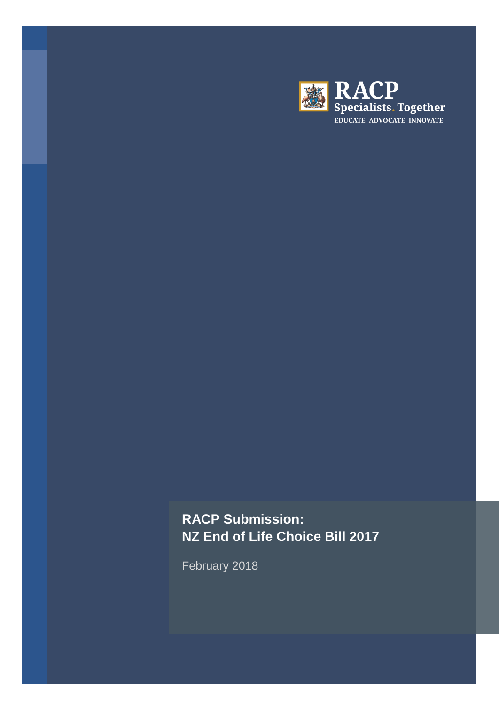

# **RACP Submission: NZ End of Life Choice Bill 2017**

February 2018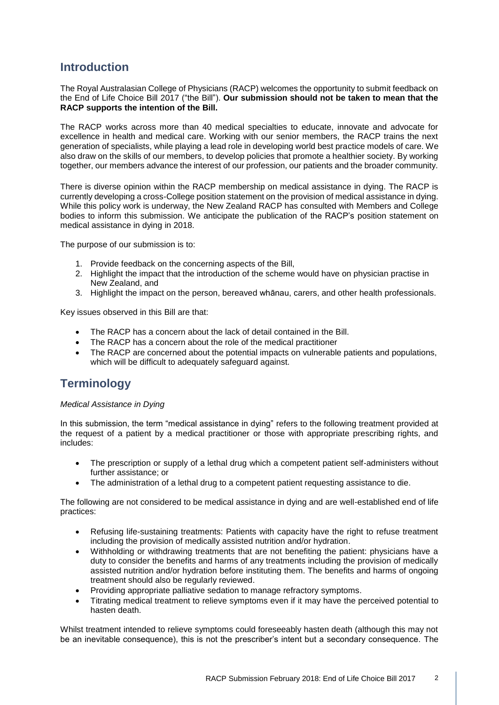# **Introduction**

The Royal Australasian College of Physicians (RACP) welcomes the opportunity to submit feedback on the End of Life Choice Bill 2017 ("the Bill"). **Our submission should not be taken to mean that the RACP supports the intention of the Bill.** 

The RACP works across more than 40 medical specialties to educate, innovate and advocate for excellence in health and medical care. Working with our senior members, the RACP trains the next generation of specialists, while playing a lead role in developing world best practice models of care. We also draw on the skills of our members, to develop policies that promote a healthier society. By working together, our members advance the interest of our profession, our patients and the broader community.

There is diverse opinion within the RACP membership on medical assistance in dying. The RACP is currently developing a cross-College position statement on the provision of medical assistance in dying. While this policy work is underway, the New Zealand RACP has consulted with Members and College bodies to inform this submission. We anticipate the publication of the RACP's position statement on medical assistance in dying in 2018.

The purpose of our submission is to:

- 1. Provide feedback on the concerning aspects of the Bill,
- 2. Highlight the impact that the introduction of the scheme would have on physician practise in New Zealand, and
- 3. Highlight the impact on the person, bereaved whānau, carers, and other health professionals.

Key issues observed in this Bill are that:

- The RACP has a concern about the lack of detail contained in the Bill.
- The RACP has a concern about the role of the medical practitioner
- The RACP are concerned about the potential impacts on vulnerable patients and populations, which will be difficult to adequately safeguard against.

# **Terminology**

### *Medical Assistance in Dying*

In this submission, the term "medical assistance in dying" refers to the following treatment provided at the request of a patient by a medical practitioner or those with appropriate prescribing rights, and includes:

- The prescription or supply of a lethal drug which a competent patient self-administers without further assistance; or
- The administration of a lethal drug to a competent patient requesting assistance to die.

The following are not considered to be medical assistance in dying and are well-established end of life practices:

- Refusing life-sustaining treatments: Patients with capacity have the right to refuse treatment including the provision of medically assisted nutrition and/or hydration.
- Withholding or withdrawing treatments that are not benefiting the patient: physicians have a duty to consider the benefits and harms of any treatments including the provision of medically assisted nutrition and/or hydration before instituting them. The benefits and harms of ongoing treatment should also be regularly reviewed.
- Providing appropriate palliative sedation to manage refractory symptoms.
- Titrating medical treatment to relieve symptoms even if it may have the perceived potential to hasten death.

Whilst treatment intended to relieve symptoms could foreseeably hasten death (although this may not be an inevitable consequence), this is not the prescriber's intent but a secondary consequence. The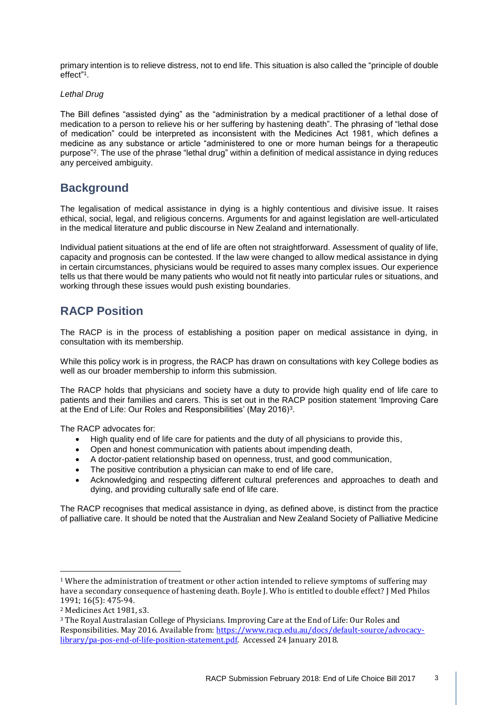primary intention is to relieve distress, not to end life. This situation is also called the "principle of double effect" 1 .

#### *Lethal Drug*

The Bill defines "assisted dying" as the "administration by a medical practitioner of a lethal dose of medication to a person to relieve his or her suffering by hastening death". The phrasing of "lethal dose of medication" could be interpreted as inconsistent with the Medicines Act 1981, which defines a medicine as any substance or article "administered to one or more human beings for a therapeutic purpose"<sup>2</sup> . The use of the phrase "lethal drug" within a definition of medical assistance in dying reduces any perceived ambiguity.

# **Background**

The legalisation of medical assistance in dying is a highly contentious and divisive issue. It raises ethical, social, legal, and religious concerns. Arguments for and against legislation are well-articulated in the medical literature and public discourse in New Zealand and internationally.

Individual patient situations at the end of life are often not straightforward. Assessment of quality of life, capacity and prognosis can be contested. If the law were changed to allow medical assistance in dying in certain circumstances, physicians would be required to asses many complex issues. Our experience tells us that there would be many patients who would not fit neatly into particular rules or situations, and working through these issues would push existing boundaries.

# **RACP Position**

The RACP is in the process of establishing a position paper on medical assistance in dying, in consultation with its membership.

While this policy work is in progress, the RACP has drawn on consultations with key College bodies as well as our broader membership to inform this submission.

The RACP holds that physicians and society have a duty to provide high quality end of life care to patients and their families and carers. This is set out in the RACP position statement 'Improving Care at the End of Life: Our Roles and Responsibilities' (May 2016)<sup>3</sup>.

The RACP advocates for:

- High quality end of life care for patients and the duty of all physicians to provide this,
- Open and honest communication with patients about impending death,
- A doctor-patient relationship based on openness, trust, and good communication,
- The positive contribution a physician can make to end of life care,
- Acknowledging and respecting different cultural preferences and approaches to death and dying, and providing culturally safe end of life care.

The RACP recognises that medical assistance in dying, as defined above, is distinct from the practice of palliative care. It should be noted that the Australian and New Zealand Society of Palliative Medicine

<u>.</u>

<sup>1</sup> Where the administration of treatment or other action intended to relieve symptoms of suffering may have a secondary consequence of hastening death. Boyle J. Who is entitled to double effect? J Med Philos 1991; 16(5): 475-94.

<sup>2</sup> Medicines Act 1981, s3.

<sup>3</sup> The Royal Australasian College of Physicians. Improving Care at the End of Life: Our Roles and Responsibilities. May 2016. Available from: [https://www.racp.edu.au/docs/default-source/advocacy](https://www.racp.edu.au/docs/default-source/advocacy-library/pa-pos-end-of-life-position-statement.pdf)[library/pa-pos-end-of-life-position-statement.pdf.](https://www.racp.edu.au/docs/default-source/advocacy-library/pa-pos-end-of-life-position-statement.pdf) Accessed 24 January 2018.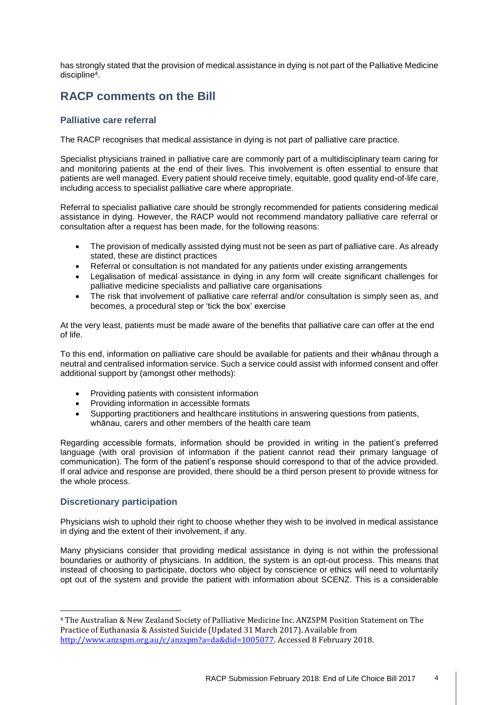has strongly stated that the provision of medical assistance in dying is not part of the Palliative Medicine discipline<sup>4</sup>.

# **RACP comments on the Bill**

# **Palliative care referral**

The RACP recognises that medical assistance in dying is not part of palliative care practice.

Specialist physicians trained in palliative care are commonly part of a multidisciplinary team caring for and monitoring patients at the end of their lives. This involvement is often essential to ensure that patients are well managed. Every patient should receive timely, equitable, good quality end-of-life care, including access to specialist palliative care where appropriate.

Referral to specialist palliative care should be strongly recommended for patients considering medical assistance in dying. However, the RACP would not recommend mandatory palliative care referral or consultation after a request has been made, for the following reasons:

- The provision of medically assisted dying must not be seen as part of palliative care. As already stated, these are distinct practices
- Referral or consultation is not mandated for any patients under existing arrangements
- Legalisation of medical assistance in dying in any form will create significant challenges for palliative medicine specialists and palliative care organisations
- The risk that involvement of palliative care referral and/or consultation is simply seen as, and becomes, a procedural step or 'tick the box' exercise

At the very least, patients must be made aware of the benefits that palliative care can offer at the end of life.

To this end, information on palliative care should be available for patients and their whānau through a neutral and centralised information service. Such a service could assist with informed consent and offer additional support by (amongst other methods):

- Providing patients with consistent information
- Providing information in accessible formats
- Supporting practitioners and healthcare institutions in answering questions from patients, whānau, carers and other members of the health care team

Regarding accessible formats, information should be provided in writing in the patient's preferred language (with oral provision of information if the patient cannot read their primary language of communication). The form of the patient's response should correspond to that of the advice provided. If oral advice and response are provided, there should be a third person present to provide witness for the whole process.

### **Discretionary participation**

<u>.</u>

Physicians wish to uphold their right to choose whether they wish to be involved in medical assistance in dying and the extent of their involvement, if any.

Many physicians consider that providing medical assistance in dying is not within the professional boundaries or authority of physicians. In addition, the system is an opt-out process. This means that instead of choosing to participate, doctors who object by conscience or ethics will need to voluntarily opt out of the system and provide the patient with information about SCENZ. This is a considerable

<sup>4</sup> The Australian & New Zealand Society of Palliative Medicine Inc. ANZSPM Position Statement on The Practice of Euthanasia & Assisted Suicide (Updated 31 March 2017). Available from [http://www.anzspm.org.au/c/anzspm?a=da&did=1005077.](http://www.anzspm.org.au/c/anzspm?a=da&did=1005077) Accessed 8 February 2018.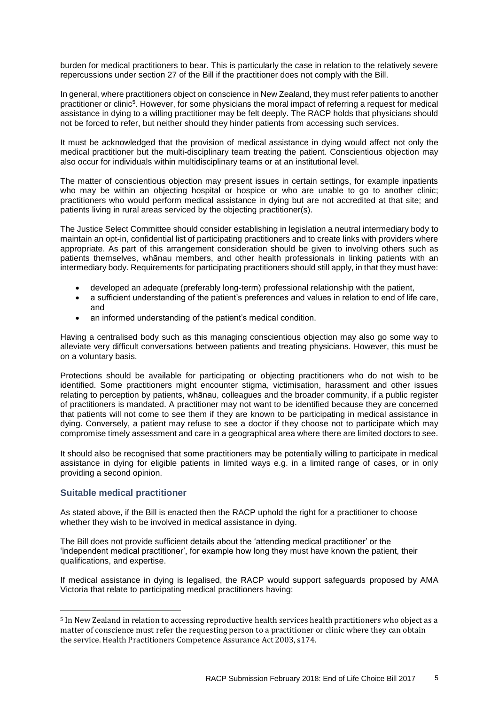burden for medical practitioners to bear. This is particularly the case in relation to the relatively severe repercussions under section 27 of the Bill if the practitioner does not comply with the Bill.

In general, where practitioners object on conscience in New Zealand, they must refer patients to another practitioner or clinic<sup>5</sup>. However, for some physicians the moral impact of referring a request for medical assistance in dying to a willing practitioner may be felt deeply. The RACP holds that physicians should not be forced to refer, but neither should they hinder patients from accessing such services.

It must be acknowledged that the provision of medical assistance in dying would affect not only the medical practitioner but the multi-disciplinary team treating the patient. Conscientious objection may also occur for individuals within multidisciplinary teams or at an institutional level.

The matter of conscientious objection may present issues in certain settings, for example inpatients who may be within an objecting hospital or hospice or who are unable to go to another clinic; practitioners who would perform medical assistance in dying but are not accredited at that site; and patients living in rural areas serviced by the objecting practitioner(s).

The Justice Select Committee should consider establishing in legislation a neutral intermediary body to maintain an opt-in, confidential list of participating practitioners and to create links with providers where appropriate. As part of this arrangement consideration should be given to involving others such as patients themselves, whānau members, and other health professionals in linking patients with an intermediary body. Requirements for participating practitioners should still apply, in that they must have:

- developed an adequate (preferably long-term) professional relationship with the patient,
- a sufficient understanding of the patient's preferences and values in relation to end of life care, and
- an informed understanding of the patient's medical condition.

Having a centralised body such as this managing conscientious objection may also go some way to alleviate very difficult conversations between patients and treating physicians. However, this must be on a voluntary basis.

Protections should be available for participating or objecting practitioners who do not wish to be identified. Some practitioners might encounter stigma, victimisation, harassment and other issues relating to perception by patients, whānau, colleagues and the broader community, if a public register of practitioners is mandated. A practitioner may not want to be identified because they are concerned that patients will not come to see them if they are known to be participating in medical assistance in dying. Conversely, a patient may refuse to see a doctor if they choose not to participate which may compromise timely assessment and care in a geographical area where there are limited doctors to see.

It should also be recognised that some practitioners may be potentially willing to participate in medical assistance in dying for eligible patients in limited ways e.g. in a limited range of cases, or in only providing a second opinion.

### **Suitable medical practitioner**

<u>.</u>

As stated above, if the Bill is enacted then the RACP uphold the right for a practitioner to choose whether they wish to be involved in medical assistance in dying.

The Bill does not provide sufficient details about the 'attending medical practitioner' or the 'independent medical practitioner', for example how long they must have known the patient, their qualifications, and expertise.

If medical assistance in dying is legalised, the RACP would support safeguards proposed by AMA Victoria that relate to participating medical practitioners having:

<sup>5</sup> In New Zealand in relation to accessing reproductive health services health practitioners who object as a matter of conscience must refer the requesting person to a practitioner or clinic where they can obtain the service. Health Practitioners Competence Assurance Act 2003, s174.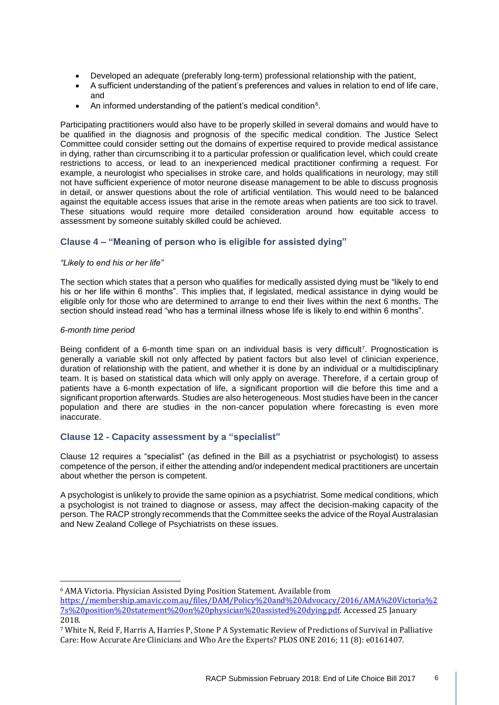- Developed an adequate (preferably long-term) professional relationship with the patient,
- A sufficient understanding of the patient's preferences and values in relation to end of life care, and
- An informed understanding of the patient's medical condition<sup>6</sup>.

Participating practitioners would also have to be properly skilled in several domains and would have to be qualified in the diagnosis and prognosis of the specific medical condition. The Justice Select Committee could consider setting out the domains of expertise required to provide medical assistance in dying, rather than circumscribing it to a particular profession or qualification level, which could create restrictions to access, or lead to an inexperienced medical practitioner confirming a request. For example, a neurologist who specialises in stroke care, and holds qualifications in neurology, may still not have sufficient experience of motor neurone disease management to be able to discuss prognosis in detail, or answer questions about the role of artificial ventilation. This would need to be balanced against the equitable access issues that arise in the remote areas when patients are too sick to travel. These situations would require more detailed consideration around how equitable access to assessment by someone suitably skilled could be achieved.

# **Clause 4 – "Meaning of person who is eligible for assisted dying"**

#### *"Likely to end his or her life"*

The section which states that a person who qualifies for medically assisted dying must be "likely to end his or her life within 6 months". This implies that, if legislated, medical assistance in dying would be eligible only for those who are determined to arrange to end their lives within the next 6 months. The section should instead read "who has a terminal illness whose life is likely to end within 6 months".

#### *6-month time period*

<u>.</u>

Being confident of a 6-month time span on an individual basis is very difficult<sup>7</sup>. Prognostication is generally a variable skill not only affected by patient factors but also level of clinician experience, duration of relationship with the patient, and whether it is done by an individual or a multidisciplinary team. It is based on statistical data which will only apply on average. Therefore, if a certain group of patients have a 6-month expectation of life, a significant proportion will die before this time and a significant proportion afterwards. Studies are also heterogeneous. Most studies have been in the cancer population and there are studies in the non-cancer population where forecasting is even more inaccurate.

# **Clause 12 - Capacity assessment by a "specialist"**

Clause 12 requires a "specialist" (as defined in the Bill as a psychiatrist or psychologist) to assess competence of the person, if either the attending and/or independent medical practitioners are uncertain about whether the person is competent.

A psychologist is unlikely to provide the same opinion as a psychiatrist. Some medical conditions, which a psychologist is not trained to diagnose or assess, may affect the decision-making capacity of the person. The RACP strongly recommends that the Committee seeks the advice of the Royal Australasian and New Zealand College of Psychiatrists on these issues.

<sup>6</sup> AMA Victoria. Physician Assisted Dying Position Statement. Available from

[https://membership.amavic.com.au/files/DAM/Policy%20and%20Advocacy/2016/AMA%20Victoria%2](https://membership.amavic.com.au/files/DAM/Policy%20and%20Advocacy/2016/AMA%20Victoria%27s%20position%20statement%20on%20physician%20assisted%20dying.pdf) [7s%20position%20statement%20on%20physician%20assisted%20dying.pdf.](https://membership.amavic.com.au/files/DAM/Policy%20and%20Advocacy/2016/AMA%20Victoria%27s%20position%20statement%20on%20physician%20assisted%20dying.pdf) Accessed 25 January 2018.

<sup>7</sup> White N, Reid F, Harris A, Harries P, Stone P A Systematic Review of Predictions of Survival in Palliative Care: How Accurate Are Clinicians and Who Are the Experts? PLOS ONE 2016; 11 (8): e0161407.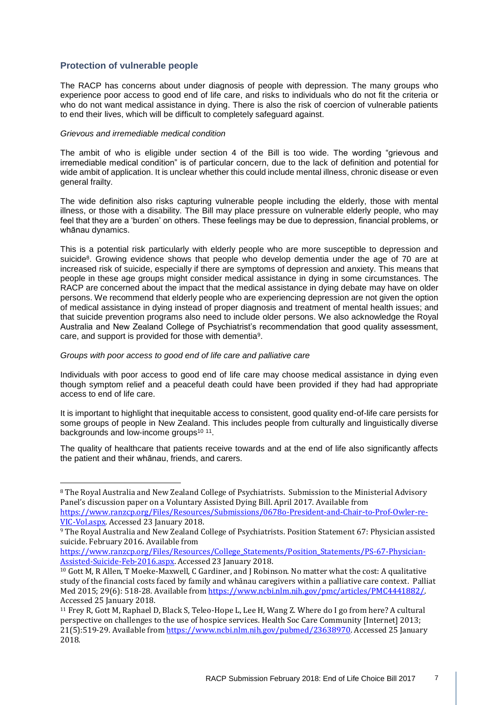# **Protection of vulnerable people**

The RACP has concerns about under diagnosis of people with depression. The many groups who experience poor access to good end of life care, and risks to individuals who do not fit the criteria or who do not want medical assistance in dying. There is also the risk of coercion of vulnerable patients to end their lives, which will be difficult to completely safeguard against.

#### *Grievous and irremediable medical condition*

The ambit of who is eligible under section 4 of the Bill is too wide. The wording "grievous and irremediable medical condition" is of particular concern, due to the lack of definition and potential for wide ambit of application. It is unclear whether this could include mental illness, chronic disease or even general frailty.

The wide definition also risks capturing vulnerable people including the elderly, those with mental illness, or those with a disability. The Bill may place pressure on vulnerable elderly people, who may feel that they are a 'burden' on others. These feelings may be due to depression, financial problems, or whānau dynamics.

This is a potential risk particularly with elderly people who are more susceptible to depression and suicide<sup>8</sup>. Growing evidence shows that people who develop dementia under the age of 70 are at increased risk of suicide, especially if there are symptoms of depression and anxiety. This means that people in these age groups might consider medical assistance in dying in some circumstances. The RACP are concerned about the impact that the medical assistance in dying debate may have on older persons. We recommend that elderly people who are experiencing depression are not given the option of medical assistance in dying instead of proper diagnosis and treatment of mental health issues; and that suicide prevention programs also need to include older persons. We also acknowledge the Royal Australia and New Zealand College of Psychiatrist's recommendation that good quality assessment, care, and support is provided for those with dementia<sup>9</sup>.

#### *Groups with poor access to good end of life care and palliative care*

Individuals with poor access to good end of life care may choose medical assistance in dying even though symptom relief and a peaceful death could have been provided if they had had appropriate access to end of life care.

It is important to highlight that inequitable access to consistent, good quality end-of-life care persists for some groups of people in New Zealand. This includes people from culturally and linguistically diverse backgrounds and low-income groups<sup>10 11</sup>.

The quality of healthcare that patients receive towards and at the end of life also significantly affects the patient and their whānau, friends, and carers.

<sup>&</sup>lt;u>.</u> <sup>8</sup> The Royal Australia and New Zealand College of Psychiatrists. Submission to the Ministerial Advisory Panel's discussion paper on a Voluntary Assisted Dying Bill. April 2017. Available from

[https://www.ranzcp.org/Files/Resources/Submissions/0678o-President-and-Chair-to-Prof-Owler-re-](https://www.ranzcp.org/Files/Resources/Submissions/0678o-President-and-Chair-to-Prof-Owler-re-VIC-Vol.aspx)[VIC-Vol.aspx.](https://www.ranzcp.org/Files/Resources/Submissions/0678o-President-and-Chair-to-Prof-Owler-re-VIC-Vol.aspx) Accessed 23 January 2018.

<sup>9</sup> The Royal Australia and New Zealand College of Psychiatrists. Position Statement 67: Physician assisted suicide. February 2016. Available from

[https://www.ranzcp.org/Files/Resources/College\\_Statements/Position\\_Statements/PS-67-Physician-](https://www.ranzcp.org/Files/Resources/College_Statements/Position_Statements/PS-67-Physician-Assisted-Suicide-Feb-2016.aspx)[Assisted-Suicide-Feb-2016.aspx.](https://www.ranzcp.org/Files/Resources/College_Statements/Position_Statements/PS-67-Physician-Assisted-Suicide-Feb-2016.aspx) Accessed 23 January 2018.

<sup>10</sup> Gott M, R Allen, T Moeke-Maxwell, C Gardiner, and J Robinson. No matter what the cost: A qualitative study of the financial costs faced by family and whānau caregivers within a palliative care context. Palliat Med 2015; 29(6): 518-28. Available from https://www.ncbi.nlm.nih.gov/pmc/articles/PMC4441882/. Accessed 25 January 2018.

<sup>11</sup> Frey R, Gott M, Raphael D, Black S, Teleo-Hope L, Lee H, Wang Z. Where do I go from here? A cultural perspective on challenges to the use of hospice services. Health Soc Care Community [Internet] 2013; 21(5):519-29. Available from [https://www.ncbi.nlm.nih.gov/pubmed/23638970.](https://www.ncbi.nlm.nih.gov/pubmed/23638970) Accessed 25 January 2018.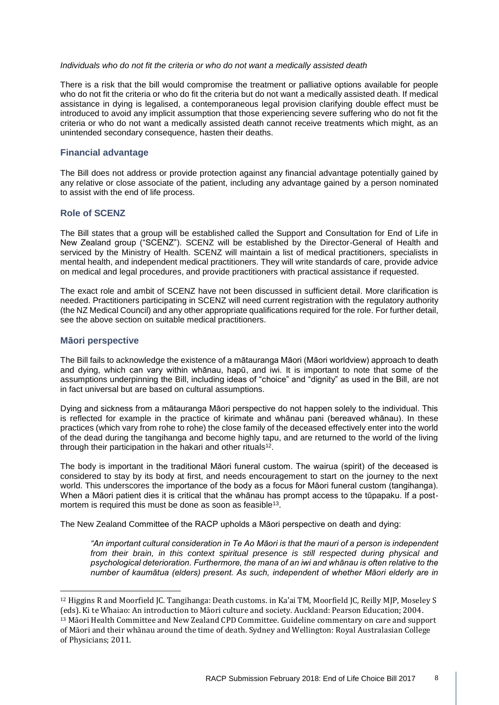#### *Individuals who do not fit the criteria or who do not want a medically assisted death*

There is a risk that the bill would compromise the treatment or palliative options available for people who do not fit the criteria or who do fit the criteria but do not want a medically assisted death. If medical assistance in dying is legalised, a contemporaneous legal provision clarifying double effect must be introduced to avoid any implicit assumption that those experiencing severe suffering who do not fit the criteria or who do not want a medically assisted death cannot receive treatments which might, as an unintended secondary consequence, hasten their deaths.

#### **Financial advantage**

The Bill does not address or provide protection against any financial advantage potentially gained by any relative or close associate of the patient, including any advantage gained by a person nominated to assist with the end of life process.

#### **Role of SCENZ**

The Bill states that a group will be established called the Support and Consultation for End of Life in New Zealand group ("SCENZ"). SCENZ will be established by the Director-General of Health and serviced by the Ministry of Health. SCENZ will maintain a list of medical practitioners, specialists in mental health, and independent medical practitioners. They will write standards of care, provide advice on medical and legal procedures, and provide practitioners with practical assistance if requested.

The exact role and ambit of SCENZ have not been discussed in sufficient detail. More clarification is needed. Practitioners participating in SCENZ will need current registration with the regulatory authority (the NZ Medical Council) and any other appropriate qualifications required for the role. For further detail, see the above section on suitable medical practitioners.

#### **Māori perspective**

<u>.</u>

The Bill fails to acknowledge the existence of a mātauranga Māori (Māori worldview) approach to death and dying, which can vary within whānau, hapū, and iwi. It is important to note that some of the assumptions underpinning the Bill, including ideas of "choice" and "dignity" as used in the Bill, are not in fact universal but are based on cultural assumptions.

Dying and sickness from a mātauranga Māori perspective do not happen solely to the individual. This is reflected for example in the practice of kirimate and whānau pani (bereaved whānau). In these practices (which vary from rohe to rohe) the close family of the deceased effectively enter into the world of the dead during the tangihanga and become highly tapu, and are returned to the world of the living through their participation in the hakari and other rituals<sup>12</sup>.

The body is important in the traditional Māori funeral custom. The wairua (spirit) of the deceased is considered to stay by its body at first, and needs encouragement to start on the journey to the next world. This underscores the importance of the body as a focus for Māori funeral custom (tangihanga). When a Māori patient dies it is critical that the whānau has prompt access to the tūpapaku. If a postmortem is required this must be done as soon as feasible<sup>13</sup>.

The New Zealand Committee of the RACP upholds a Māori perspective on death and dying:

*"An important cultural consideration in Te Ao Māori is that the mauri of a person is independent from their brain, in this context spiritual presence is still respected during physical and psychological deterioration. Furthermore, the mana of an iwi and whānau is often relative to the number of kaumātua (elders) present. As such, independent of whether Māori elderly are in* 

<sup>12</sup> Higgins R and Moorfield JC. Tangihanga: Death customs. in Ka'ai TM, Moorfield JC, Reilly MJP, Moseley S (eds). Ki te Whaiao: An introduction to Māori culture and society. Auckland: Pearson Education; 2004.

<sup>13</sup> Māori Health Committee and New Zealand CPD Committee. Guideline commentary on care and support of Māori and their whānau around the time of death. Sydney and Wellington: Royal Australasian College of Physicians; 2011.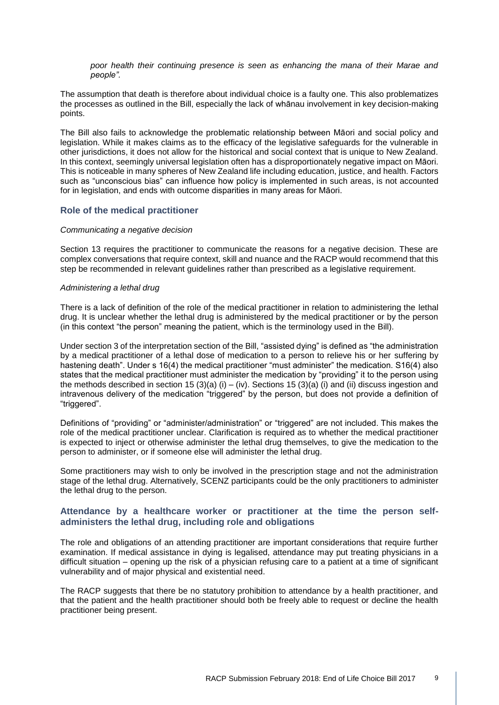*poor health their continuing presence is seen as enhancing the mana of their Marae and people".* 

The assumption that death is therefore about individual choice is a faulty one. This also problematizes the processes as outlined in the Bill, especially the lack of whānau involvement in key decision-making points.

The Bill also fails to acknowledge the problematic relationship between Māori and social policy and legislation. While it makes claims as to the efficacy of the legislative safeguards for the vulnerable in other jurisdictions, it does not allow for the historical and social context that is unique to New Zealand. In this context, seemingly universal legislation often has a disproportionately negative impact on Māori. This is noticeable in many spheres of New Zealand life including education, justice, and health. Factors such as "unconscious bias" can influence how policy is implemented in such areas, is not accounted for in legislation, and ends with outcome disparities in many areas for Māori.

#### **Role of the medical practitioner**

#### *Communicating a negative decision*

Section 13 requires the practitioner to communicate the reasons for a negative decision. These are complex conversations that require context, skill and nuance and the RACP would recommend that this step be recommended in relevant guidelines rather than prescribed as a legislative requirement.

#### *Administering a lethal drug*

There is a lack of definition of the role of the medical practitioner in relation to administering the lethal drug. It is unclear whether the lethal drug is administered by the medical practitioner or by the person (in this context "the person" meaning the patient, which is the terminology used in the Bill).

Under section 3 of the interpretation section of the Bill, "assisted dying" is defined as "the administration by a medical practitioner of a lethal dose of medication to a person to relieve his or her suffering by hastening death". Under s 16(4) the medical practitioner "must administer" the medication. S16(4) also states that the medical practitioner must administer the medication by "providing" it to the person using the methods described in section 15 (3)(a) (i) – (iv). Sections 15 (3)(a) (i) and (ii) discuss ingestion and intravenous delivery of the medication "triggered" by the person, but does not provide a definition of "triggered".

Definitions of "providing" or "administer/administration" or "triggered" are not included. This makes the role of the medical practitioner unclear. Clarification is required as to whether the medical practitioner is expected to inject or otherwise administer the lethal drug themselves, to give the medication to the person to administer, or if someone else will administer the lethal drug.

Some practitioners may wish to only be involved in the prescription stage and not the administration stage of the lethal drug. Alternatively, SCENZ participants could be the only practitioners to administer the lethal drug to the person.

#### **Attendance by a healthcare worker or practitioner at the time the person selfadministers the lethal drug, including role and obligations**

The role and obligations of an attending practitioner are important considerations that require further examination. If medical assistance in dying is legalised, attendance may put treating physicians in a difficult situation – opening up the risk of a physician refusing care to a patient at a time of significant vulnerability and of major physical and existential need.

The RACP suggests that there be no statutory prohibition to attendance by a health practitioner, and that the patient and the health practitioner should both be freely able to request or decline the health practitioner being present.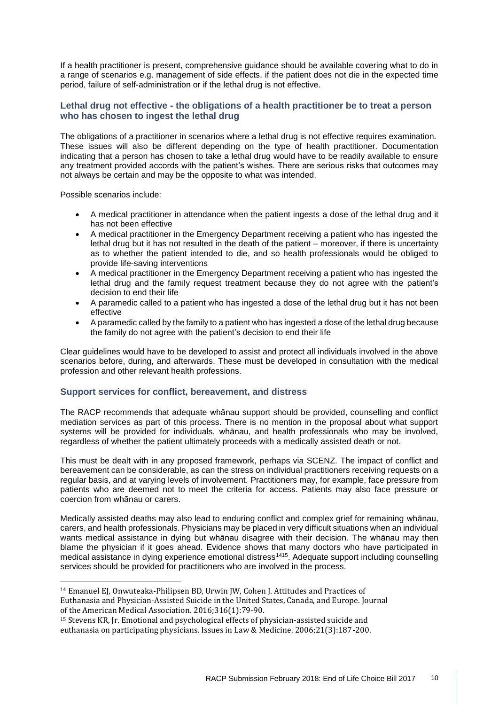If a health practitioner is present, comprehensive guidance should be available covering what to do in a range of scenarios e.g. management of side effects, if the patient does not die in the expected time period, failure of self-administration or if the lethal drug is not effective.

# **Lethal drug not effective - the obligations of a health practitioner be to treat a person who has chosen to ingest the lethal drug**

The obligations of a practitioner in scenarios where a lethal drug is not effective requires examination. These issues will also be different depending on the type of health practitioner. Documentation indicating that a person has chosen to take a lethal drug would have to be readily available to ensure any treatment provided accords with the patient's wishes. There are serious risks that outcomes may not always be certain and may be the opposite to what was intended.

Possible scenarios include:

<u>.</u>

- A medical practitioner in attendance when the patient ingests a dose of the lethal drug and it has not been effective
- A medical practitioner in the Emergency Department receiving a patient who has ingested the lethal drug but it has not resulted in the death of the patient – moreover, if there is uncertainty as to whether the patient intended to die, and so health professionals would be obliged to provide life-saving interventions
- A medical practitioner in the Emergency Department receiving a patient who has ingested the lethal drug and the family request treatment because they do not agree with the patient's decision to end their life
- A paramedic called to a patient who has ingested a dose of the lethal drug but it has not been effective
- A paramedic called by the family to a patient who has ingested a dose of the lethal drug because the family do not agree with the patient's decision to end their life

Clear guidelines would have to be developed to assist and protect all individuals involved in the above scenarios before, during, and afterwards. These must be developed in consultation with the medical profession and other relevant health professions.

### **Support services for conflict, bereavement, and distress**

The RACP recommends that adequate whānau support should be provided, counselling and conflict mediation services as part of this process. There is no mention in the proposal about what support systems will be provided for individuals, whānau, and health professionals who may be involved, regardless of whether the patient ultimately proceeds with a medically assisted death or not.

This must be dealt with in any proposed framework, perhaps via SCENZ. The impact of conflict and bereavement can be considerable, as can the stress on individual practitioners receiving requests on a regular basis, and at varying levels of involvement. Practitioners may, for example, face pressure from patients who are deemed not to meet the criteria for access. Patients may also face pressure or coercion from whānau or carers.

Medically assisted deaths may also lead to enduring conflict and complex grief for remaining whānau, carers, and health professionals. Physicians may be placed in very difficult situations when an individual wants medical assistance in dying but whānau disagree with their decision. The whānau may then blame the physician if it goes ahead. Evidence shows that many doctors who have participated in medical assistance in dying experience emotional distress<sup>1415</sup>. Adequate support including counselling services should be provided for practitioners who are involved in the process.

<sup>14</sup> Emanuel EJ, Onwuteaka-Philipsen BD, Urwin JW, Cohen J. Attitudes and Practices of Euthanasia and Physician-Assisted Suicide in the United States, Canada, and Europe. Journal of the American Medical Association. 2016;316(1):79-90.

<sup>15</sup> Stevens KR, Jr. Emotional and psychological effects of physician-assisted suicide and euthanasia on participating physicians. Issues in Law & Medicine. 2006;21(3):187-200.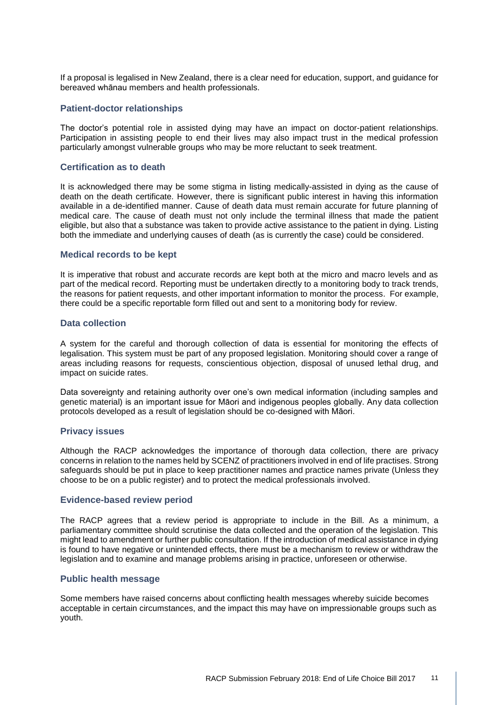If a proposal is legalised in New Zealand, there is a clear need for education, support, and guidance for bereaved whānau members and health professionals.

#### **Patient-doctor relationships**

The doctor's potential role in assisted dying may have an impact on doctor-patient relationships. Participation in assisting people to end their lives may also impact trust in the medical profession particularly amongst vulnerable groups who may be more reluctant to seek treatment.

#### **Certification as to death**

It is acknowledged there may be some stigma in listing medically-assisted in dying as the cause of death on the death certificate. However, there is significant public interest in having this information available in a de-identified manner. Cause of death data must remain accurate for future planning of medical care. The cause of death must not only include the terminal illness that made the patient eligible, but also that a substance was taken to provide active assistance to the patient in dying. Listing both the immediate and underlying causes of death (as is currently the case) could be considered.

#### **Medical records to be kept**

It is imperative that robust and accurate records are kept both at the micro and macro levels and as part of the medical record. Reporting must be undertaken directly to a monitoring body to track trends, the reasons for patient requests, and other important information to monitor the process. For example, there could be a specific reportable form filled out and sent to a monitoring body for review.

#### **Data collection**

A system for the careful and thorough collection of data is essential for monitoring the effects of legalisation. This system must be part of any proposed legislation. Monitoring should cover a range of areas including reasons for requests, conscientious objection, disposal of unused lethal drug, and impact on suicide rates.

Data sovereignty and retaining authority over one's own medical information (including samples and genetic material) is an important issue for Māori and indigenous peoples globally. Any data collection protocols developed as a result of legislation should be co-designed with Māori.

#### **Privacy issues**

Although the RACP acknowledges the importance of thorough data collection, there are privacy concerns in relation to the names held by SCENZ of practitioners involved in end of life practises. Strong safeguards should be put in place to keep practitioner names and practice names private (Unless they choose to be on a public register) and to protect the medical professionals involved.

#### **Evidence-based review period**

The RACP agrees that a review period is appropriate to include in the Bill. As a minimum, a parliamentary committee should scrutinise the data collected and the operation of the legislation. This might lead to amendment or further public consultation. If the introduction of medical assistance in dying is found to have negative or unintended effects, there must be a mechanism to review or withdraw the legislation and to examine and manage problems arising in practice, unforeseen or otherwise.

#### **Public health message**

Some members have raised concerns about conflicting health messages whereby suicide becomes acceptable in certain circumstances, and the impact this may have on impressionable groups such as youth.